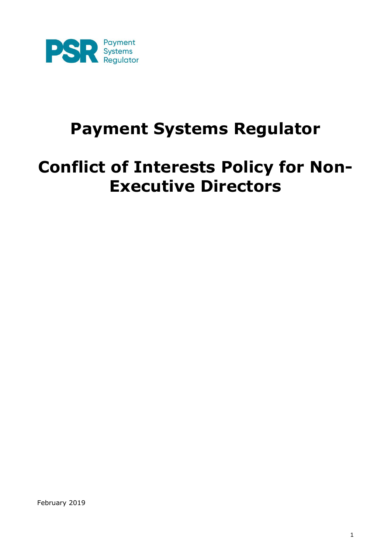

# **Payment Systems Regulator**

# **Conflict of Interests Policy for Non-Executive Directors**

February 2019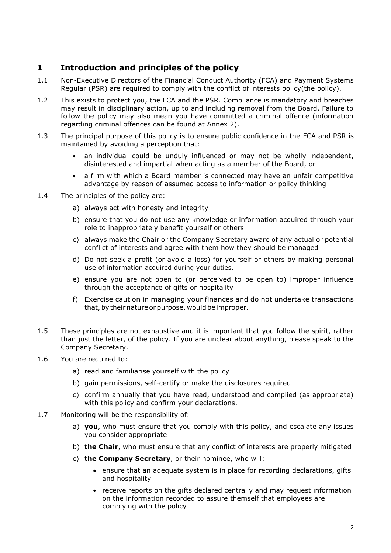# **1 Introduction and principles of the policy**

- 1.1 Non-Executive Directors of the Financial Conduct Authority (FCA) and Payment Systems Regular (PSR) are required to comply with the conflict of interests policy(the policy).
- 1.2 This exists to protect you, the FCA and the PSR. Compliance is mandatory and breaches may result in disciplinary action, up to and including removal from the Board. Failure to follow the policy may also mean you have committed a criminal offence (information regarding criminal offences can be found at Annex 2).
- 1.3 The principal purpose of this policy is to ensure public confidence in the FCA and PSR is maintained by avoiding a perception that:
	- an individual could be unduly influenced or may not be wholly independent, disinterested and impartial when acting as a member of the Board, or
	- a firm with which a Board member is connected may have an unfair competitive advantage by reason of assumed access to information or policy thinking
- 1.4 The principles of the policy are:
	- a) always act with honesty and integrity
	- b) ensure that you do not use any knowledge or information acquired through your role to inappropriately benefit yourself or others
	- c) always make the Chair or the Company Secretary aware of any actual or potential conflict of interests and agree with them how they should be managed
	- d) Do not seek a profit (or avoid a loss) for yourself or others by making personal use of information acquired during your duties.
	- e) ensure you are not open to (or perceived to be open to) improper influence through the acceptance of gifts or hospitality
	- f) Exercise caution in managing your finances and do not undertake transactions that, by theirnature orpurpose, would be improper.
- 1.5 These principles are not exhaustive and it is important that you follow the spirit, rather than just the letter, of the policy. If you are unclear about anything, please speak to the Company Secretary.
- 1.6 You are required to:
	- a) read and familiarise yourself with the policy
	- b) gain permissions, self-certify or make the disclosures required
	- c) confirm annually that you have read, understood and complied (as appropriate) with this policy and confirm your declarations.
- 1.7 Monitoring will be the responsibility of:
	- a) **you**, who must ensure that you comply with this policy, and escalate any issues you consider appropriate
	- b) **the Chair**, who must ensure that any conflict of interests are properly mitigated
	- c) **the Company Secretary**, or their nominee, who will:
		- ensure that an adequate system is in place for recording declarations, gifts and hospitality
		- receive reports on the gifts declared centrally and may request information on the information recorded to assure themself that employees are complying with the policy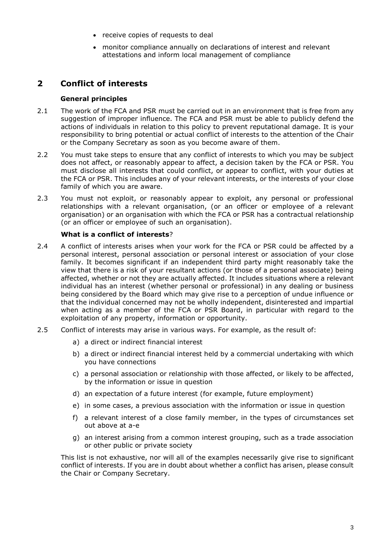- receive copies of requests to deal
- monitor compliance annually on declarations of interest and relevant attestations and inform local management of compliance

# **2 Conflict of interests**

## **General principles**

- 2.1 The work of the FCA and PSR must be carried out in an environment that is free from any suggestion of improper influence. The FCA and PSR must be able to publicly defend the actions of individuals in relation to this policy to prevent reputational damage. It is your responsibility to bring potential or actual conflict of interests to the attention of the Chair or the Company Secretary as soon as you become aware of them.
- 2.2 You must take steps to ensure that any conflict of interests to which you may be subject does not affect, or reasonably appear to affect, a decision taken by the FCA or PSR. You must disclose all interests that could conflict, or appear to conflict, with your duties at the FCA or PSR. This includes any of your relevant interests, or the interests of your close family of which you are aware.
- 2.3 You must not exploit, or reasonably appear to exploit, any personal or professional relationships with a relevant organisation, (or an officer or employee of a relevant organisation) or an organisation with which the FCA or PSR has a contractual relationship (or an officer or employee of such an organisation).

## **What is a conflict of interests**?

- 2.4 A conflict of interests arises when your work for the FCA or PSR could be affected by a personal interest, personal association or personal interest or association of your close family. It becomes significant if an independent third party might reasonably take the view that there is a risk of your resultant actions (or those of a personal associate) being affected, whether or not they are actually affected. It includes situations where a relevant individual has an interest (whether personal or professional) in any dealing or business being considered by the Board which may give rise to a perception of undue influence or that the individual concerned may not be wholly independent, disinterested and impartial when acting as a member of the FCA or PSR Board, in particular with regard to the exploitation of any property, information or opportunity.
- 2.5 Conflict of interests may arise in various ways. For example, as the result of:
	- a) a direct or indirect financial interest
	- b) a direct or indirect financial interest held by a commercial undertaking with which you have connections
	- c) a personal association or relationship with those affected, or likely to be affected, by the information or issue in question
	- d) an expectation of a future interest (for example, future employment)
	- e) in some cases, a previous association with the information or issue in question
	- f) a relevant interest of a close family member, in the types of circumstances set out above at a-e
	- g) an interest arising from a common interest grouping, such as a trade association or other public or private society

This list is not exhaustive, nor will all of the examples necessarily give rise to significant conflict of interests. If you are in doubt about whether a conflict has arisen, please consult the Chair or Company Secretary.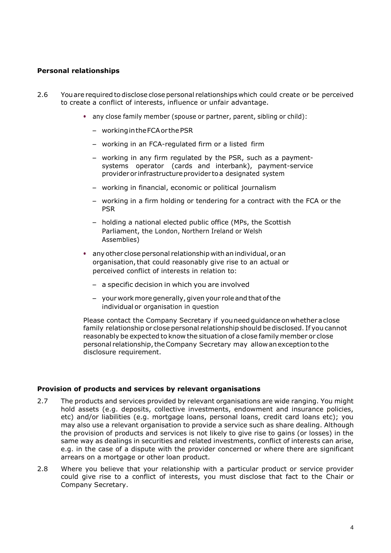## **Personal relationships**

- 2.6 You are required to disclose close personal relationships which could create or be perceived to create a conflict of interests, influence or unfair advantage.
	- any close family member (spouse or partner, parent, sibling or child):
		- workingintheFCAor thePSR
		- working in an FCA-regulated firm or a listed firm
		- working in any firm regulated by the PSR, such as a paymentsystems operator (cards and interbank), payment-service provideror infrastructureprovider toa designated system
		- working in financial, economic or political journalism
		- working in a firm holding or tendering for a contract with the FCA or the PSR
		- holding a national elected public office (MPs, the Scottish Parliament, the London, Northern Ireland or Welsh Assemblies)
	- any other close personal relationship with an individual, or an organisation, that could reasonably give rise to an actual or perceived conflict of interests in relation to:
		- a specific decision in which you are involved
		- your workmoregenerally,given your role and that ofthe individual or organisation in question

Please contact the Company Secretary if youneedguidanceon whetheraclose family relationship or close personal relationship should be disclosed. If you cannot reasonably be expected to know the situation of a close family member or close personal relationship,theCompany Secretary may allow anexceptionto the disclosure requirement.

### **Provision of products and services by relevant organisations**

- 2.7 The products and services provided by relevant organisations are wide ranging. You might hold assets (e.g. deposits, collective investments, endowment and insurance policies, etc) and/or liabilities (e.g. mortgage loans, personal loans, credit card loans etc); you may also use a relevant organisation to provide a service such as share dealing. Although the provision of products and services is not likely to give rise to gains (or losses) in the same way as dealings in securities and related investments, conflict of interests can arise, e.g. in the case of a dispute with the provider concerned or where there are significant arrears on a mortgage or other loan product.
- 2.8 Where you believe that your relationship with a particular product or service provider could give rise to a conflict of interests, you must disclose that fact to the Chair or Company Secretary.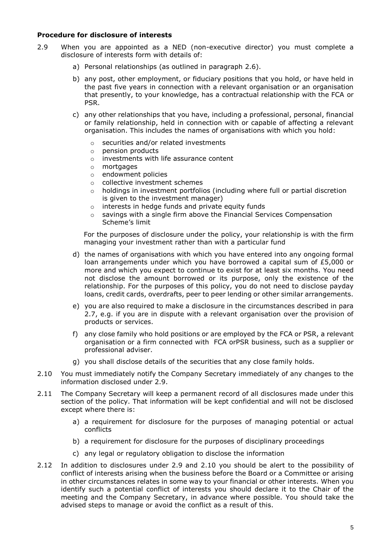### **Procedure for disclosure of interests**

- 2.9 When you are appointed as a NED (non-executive director) you must complete a disclosure of interests form with details of:
	- a) Personal relationships (as outlined in paragraph 2.6).
	- b) any post, other employment, or fiduciary positions that you hold, or have held in the past five years in connection with a relevant organisation or an organisation that presently, to your knowledge, has a contractual relationship with the FCA or PSR.
	- c) any other relationships that you have, including a professional, personal, financial or family relationship, held in connection with or capable of affecting a relevant organisation. This includes the names of organisations with which you hold:
		- o securities and/or related investments
		- o pension products
		- o investments with life assurance content
		- o mortgages
		- o endowment policies
		- o collective investment schemes
		- $\circ$  holdings in investment portfolios (including where full or partial discretion is given to the investment manager)
		- o interests in hedge funds and private equity funds
		- o savings with a single firm above the Financial Services Compensation Scheme's limit

For the purposes of disclosure under the policy, your relationship is with the firm managing your investment rather than with a particular fund

- d) the names of organisations with which you have entered into any ongoing formal loan arrangements under which you have borrowed a capital sum of £5,000 or more and which you expect to continue to exist for at least six months. You need not disclose the amount borrowed or its purpose, only the existence of the relationship. For the purposes of this policy, you do not need to disclose payday loans, credit cards, overdrafts, peer to peer lending or other similar arrangements.
- e) you are also required to make a disclosure in the circumstances described in para 2.7, e.g. if you are in dispute with a relevant organisation over the provision of products or services.
- f) any close family who hold positions or are employed by the FCA or PSR, a relevant organisation or a firm connected with FCA orPSR business, such as a supplier or professional adviser.
- g) you shall disclose details of the securities that any close family holds.
- 2.10 You must immediately notify the Company Secretary immediately of any changes to the information disclosed under 2.9.
- 2.11 The Company Secretary will keep a permanent record of all disclosures made under this section of the policy. That information will be kept confidential and will not be disclosed except where there is:
	- a) a requirement for disclosure for the purposes of managing potential or actual conflicts
	- b) a requirement for disclosure for the purposes of disciplinary proceedings
	- c) any legal or regulatory obligation to disclose the information
- 2.12 In addition to disclosures under 2.9 and 2.10 you should be alert to the possibility of conflict of interests arising when the business before the Board or a Committee or arising in other circumstances relates in some way to your financial or other interests. When you identify such a potential conflict of interests you should declare it to the Chair of the meeting and the Company Secretary, in advance where possible. You should take the advised steps to manage or avoid the conflict as a result of this.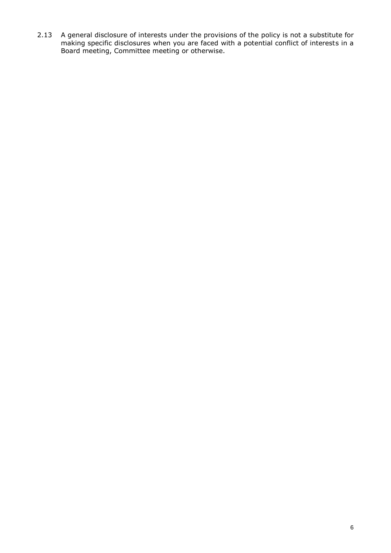2.13 A general disclosure of interests under the provisions of the policy is not a substitute for making specific disclosures when you are faced with a potential conflict of interests in a Board meeting, Committee meeting or otherwise.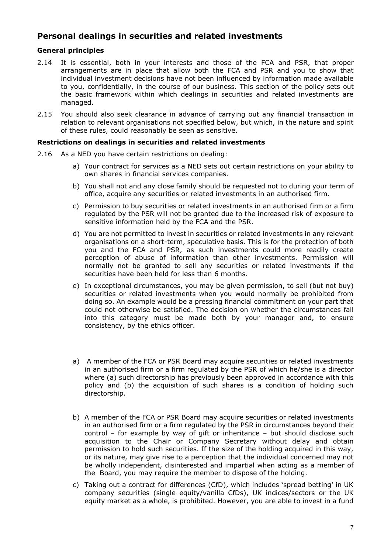## **Personal dealings in securities and related investments**

## **General principles**

- 2.14 It is essential, both in your interests and those of the FCA and PSR, that proper arrangements are in place that allow both the FCA and PSR and you to show that individual investment decisions have not been influenced by information made available to you, confidentially, in the course of our business. This section of the policy sets out the basic framework within which dealings in securities and related investments are managed.
- 2.15 You should also seek clearance in advance of carrying out any financial transaction in relation to relevant organisations not specified below, but which, in the nature and spirit of these rules, could reasonably be seen as sensitive.

## **Restrictions on dealings in securities and related investments**

- 2.16 As a NED you have certain restrictions on dealing:
	- a) Your contract for services as a NED sets out certain restrictions on your ability to own shares in financial services companies.
	- b) You shall not and any close family should be requested not to during your term of office, acquire any securities or related investments in an authorised firm.
	- c) Permission to buy securities or related investments in an authorised firm or a firm regulated by the PSR will not be granted due to the increased risk of exposure to sensitive information held by the FCA and the PSR.
	- d) You are not permitted to invest in securities or related investments in any relevant organisations on a short-term, speculative basis. This is for the protection of both you and the FCA and PSR, as such investments could more readily create perception of abuse of information than other investments. Permission will normally not be granted to sell any securities or related investments if the securities have been held for less than 6 months.
	- e) In exceptional circumstances, you may be given permission, to sell (but not buy) securities or related investments when you would normally be prohibited from doing so. An example would be a pressing financial commitment on your part that could not otherwise be satisfied. The decision on whether the circumstances fall into this category must be made both by your manager and, to ensure consistency, by the ethics officer.
	- a) A member of the FCA or PSR Board may acquire securities or related investments in an authorised firm or a firm regulated by the PSR of which he/she is a director where (a) such directorship has previously been approved in accordance with this policy and (b) the acquisition of such shares is a condition of holding such directorship.
	- b) A member of the FCA or PSR Board may acquire securities or related investments in an authorised firm or a firm regulated by the PSR in circumstances beyond their control – for example by way of gift or inheritance – but should disclose such acquisition to the Chair or Company Secretary without delay and obtain permission to hold such securities. If the size of the holding acquired in this way, or its nature, may give rise to a perception that the individual concerned may not be wholly independent, disinterested and impartial when acting as a member of the Board, you may require the member to dispose of the holding.
	- c) Taking out a contract for differences (CfD), which includes 'spread betting' in UK company securities (single equity/vanilla CfDs), UK indices/sectors or the UK equity market as a whole, is prohibited. However, you are able to invest in a fund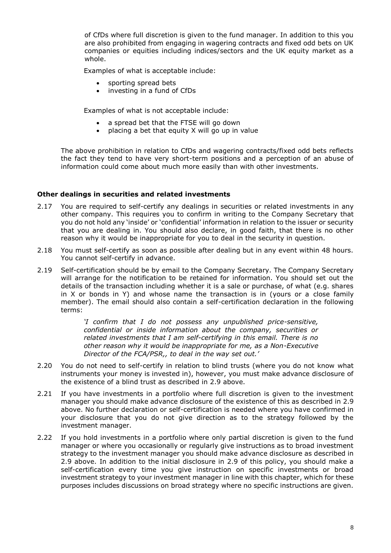of CfDs where full discretion is given to the fund manager. In addition to this you are also prohibited from engaging in wagering contracts and fixed odd bets on UK companies or equities including indices/sectors and the UK equity market as a whole.

Examples of what is acceptable include:

- sporting spread bets
- investing in a fund of CfDs

Examples of what is not acceptable include:

- a spread bet that the FTSE will go down
- placing a bet that equity  $X$  will go up in value

The above prohibition in relation to CfDs and wagering contracts/fixed odd bets reflects the fact they tend to have very short-term positions and a perception of an abuse of information could come about much more easily than with other investments.

## **Other dealings in securities and related investments**

- 2.17 You are required to self-certify any dealings in securities or related investments in any other company. This requires you to confirm in writing to the Company Secretary that you do not hold any 'inside' or 'confidential' information in relation to the issuer or security that you are dealing in. You should also declare, in good faith, that there is no other reason why it would be inappropriate for you to deal in the security in question.
- 2.18 You must self-certify as soon as possible after dealing but in any event within 48 hours. You cannot self-certify in advance.
- 2.19 Self-certification should be by email to the Company Secretary. The Company Secretary will arrange for the notification to be retained for information. You should set out the details of the transaction including whether it is a sale or purchase, of what (e.g. shares in X or bonds in Y) and whose name the transaction is in (yours or a close family member). The email should also contain a self-certification declaration in the following terms:

*'I confirm that I do not possess any unpublished price-sensitive, confidential or inside information about the company, securities or related investments that I am self-certifying in this email. There is no other reason why it would be inappropriate for me, as a Non-Executive Director of the FCA/PSR,, to deal in the way set out.'* 

- 2.20 You do not need to self-certify in relation to blind trusts (where you do not know what instruments your money is invested in), however, you must make advance disclosure of the existence of a blind trust as described in 2.9 above.
- 2.21 If you have investments in a portfolio where full discretion is given to the investment manager you should make advance disclosure of the existence of this as described in 2.9 above. No further declaration or self-certification is needed where you have confirmed in your disclosure that you do not give direction as to the strategy followed by the investment manager.
- 2.22 If you hold investments in a portfolio where only partial discretion is given to the fund manager or where you occasionally or regularly give instructions as to broad investment strategy to the investment manager you should make advance disclosure as described in 2.9 above. In addition to the initial disclosure in 2.9 of this policy, you should make a self-certification every time you give instruction on specific investments or broad investment strategy to your investment manager in line with this chapter, which for these purposes includes discussions on broad strategy where no specific instructions are given.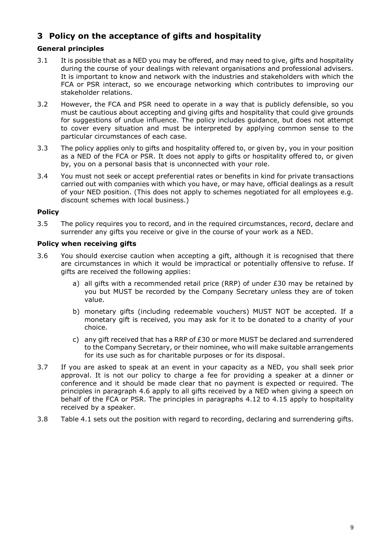# **3 Policy on the acceptance of gifts and hospitality**

## **General principles**

- 3.1 It is possible that as a NED you may be offered, and may need to give, gifts and hospitality during the course of your dealings with relevant organisations and professional advisers. It is important to know and network with the industries and stakeholders with which the FCA or PSR interact, so we encourage networking which contributes to improving our stakeholder relations.
- 3.2 However, the FCA and PSR need to operate in a way that is publicly defensible, so you must be cautious about accepting and giving gifts and hospitality that could give grounds for suggestions of undue influence. The policy includes guidance, but does not attempt to cover every situation and must be interpreted by applying common sense to the particular circumstances of each case.
- 3.3 The policy applies only to gifts and hospitality offered to, or given by, you in your position as a NED of the FCA or PSR. It does not apply to gifts or hospitality offered to, or given by, you on a personal basis that is unconnected with your role.
- 3.4 You must not seek or accept preferential rates or benefits in kind for private transactions carried out with companies with which you have, or may have, official dealings as a result of your NED position. (This does not apply to schemes negotiated for all employees e.g. discount schemes with local business.)

## **Policy**

3.5 The policy requires you to record, and in the required circumstances, record, declare and surrender any gifts you receive or give in the course of your work as a NED.

## **Policy when receiving gifts**

- 3.6 You should exercise caution when accepting a gift, although it is recognised that there are circumstances in which it would be impractical or potentially offensive to refuse. If gifts are received the following applies:
	- a) all gifts with a recommended retail price (RRP) of under  $E30$  may be retained by you but MUST be recorded by the Company Secretary unless they are of token value.
	- b) monetary gifts (including redeemable vouchers) MUST NOT be accepted. If a monetary gift is received, you may ask for it to be donated to a charity of your choice.
	- c) any gift received that has a RRP of £30 or more MUST be declared and surrendered to the Company Secretary, or their nominee, who will make suitable arrangements for its use such as for charitable purposes or for its disposal.
- 3.7 If you are asked to speak at an event in your capacity as a NED, you shall seek prior approval. It is not our policy to charge a fee for providing a speaker at a dinner or conference and it should be made clear that no payment is expected or required. The principles in paragraph 4.6 apply to all gifts received by a NED when giving a speech on behalf of the FCA or PSR. The principles in paragraphs 4.12 to 4.15 apply to hospitality received by a speaker.
- 3.8 Table 4.1 sets out the position with regard to recording, declaring and surrendering gifts.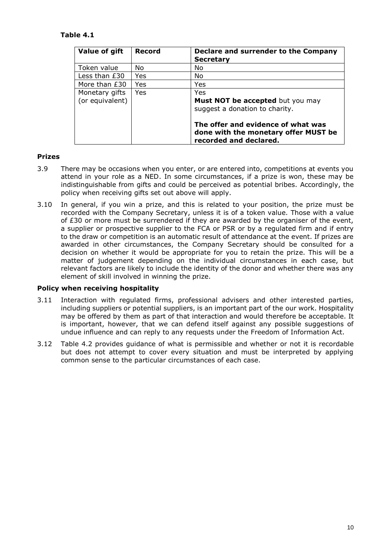## **Table 4.1**

| Value of gift                     | <b>Record</b> | Declare and surrender to the Company<br><b>Secretary</b>                                             |
|-----------------------------------|---------------|------------------------------------------------------------------------------------------------------|
| Token value                       | No.           | No                                                                                                   |
| Less than £30                     | Yes           | No.                                                                                                  |
| More than £30                     | Yes           | Yes                                                                                                  |
| Monetary gifts<br>(or equivalent) | Yes           | Yes<br>Must NOT be accepted but you may<br>suggest a donation to charity.                            |
|                                   |               | The offer and evidence of what was<br>done with the monetary offer MUST be<br>recorded and declared. |

## **Prizes**

- 3.9 There may be occasions when you enter, or are entered into, competitions at events you attend in your role as a NED. In some circumstances, if a prize is won, these may be indistinguishable from gifts and could be perceived as potential bribes. Accordingly, the policy when receiving gifts set out above will apply.
- 3.10 In general, if you win a prize, and this is related to your position, the prize must be recorded with the Company Secretary, unless it is of a token value. Those with a value of £30 or more must be surrendered if they are awarded by the organiser of the event, a supplier or prospective supplier to the FCA or PSR or by a regulated firm and if entry to the draw or competition is an automatic result of attendance at the event. If prizes are awarded in other circumstances, the Company Secretary should be consulted for a decision on whether it would be appropriate for you to retain the prize. This will be a matter of judgement depending on the individual circumstances in each case, but relevant factors are likely to include the identity of the donor and whether there was any element of skill involved in winning the prize.

### **Policy when receiving hospitality**

- 3.11 Interaction with regulated firms, professional advisers and other interested parties, including suppliers or potential suppliers, is an important part of the our work. Hospitality may be offered by them as part of that interaction and would therefore be acceptable. It is important, however, that we can defend itself against any possible suggestions of undue influence and can reply to any requests under the Freedom of Information Act.
- 3.12 Table 4.2 provides guidance of what is permissible and whether or not it is recordable but does not attempt to cover every situation and must be interpreted by applying common sense to the particular circumstances of each case.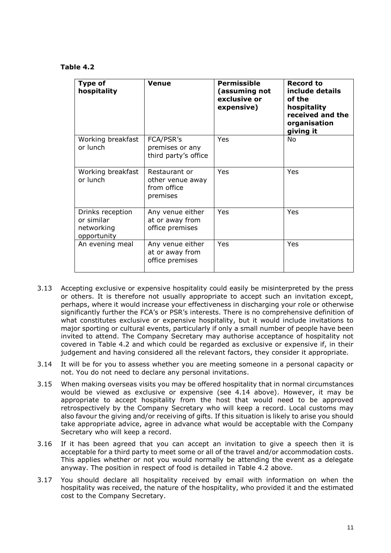**Table 4.2**

| Type of<br>hospitality                                      | <b>Venue</b>                                                 | <b>Permissible</b><br>(assuming not<br>exclusive or<br>expensive) | <b>Record to</b><br>include details<br>of the<br>hospitality<br>received and the<br>organisation<br>giving it |
|-------------------------------------------------------------|--------------------------------------------------------------|-------------------------------------------------------------------|---------------------------------------------------------------------------------------------------------------|
| Working breakfast<br>or lunch                               | FCA/PSR's<br>premises or any<br>third party's office         | Yes                                                               | No.                                                                                                           |
| Working breakfast<br>or lunch                               | Restaurant or<br>other venue away<br>from office<br>premises | Yes                                                               | Yes                                                                                                           |
| Drinks reception<br>or similar<br>networking<br>opportunity | Any venue either<br>at or away from<br>office premises       | Yes                                                               | Yes                                                                                                           |
| An evening meal                                             | Any venue either<br>at or away from<br>office premises       | Yes                                                               | Yes                                                                                                           |

- 3.13 Accepting exclusive or expensive hospitality could easily be misinterpreted by the press or others. It is therefore not usually appropriate to accept such an invitation except, perhaps, where it would increase your effectiveness in discharging your role or otherwise significantly further the FCA's or PSR's interests. There is no comprehensive definition of what constitutes exclusive or expensive hospitality, but it would include invitations to major sporting or cultural events, particularly if only a small number of people have been invited to attend. The Company Secretary may authorise acceptance of hospitality not covered in Table 4.2 and which could be regarded as exclusive or expensive if, in their judgement and having considered all the relevant factors, they consider it appropriate.
- 3.14 It will be for you to assess whether you are meeting someone in a personal capacity or not. You do not need to declare any personal invitations.
- 3.15 When making overseas visits you may be offered hospitality that in normal circumstances would be viewed as exclusive or expensive (see 4.14 above). However, it may be appropriate to accept hospitality from the host that would need to be approved retrospectively by the Company Secretary who will keep a record. Local customs may also favour the giving and/or receiving of gifts. If this situation is likely to arise you should take appropriate advice, agree in advance what would be acceptable with the Company Secretary who will keep a record.
- 3.16 If it has been agreed that you can accept an invitation to give a speech then it is acceptable for a third party to meet some or all of the travel and/or accommodation costs. This applies whether or not you would normally be attending the event as a delegate anyway. The position in respect of food is detailed in Table 4.2 above.
- 3.17 You should declare all hospitality received by email with information on when the hospitality was received, the nature of the hospitality, who provided it and the estimated cost to the Company Secretary.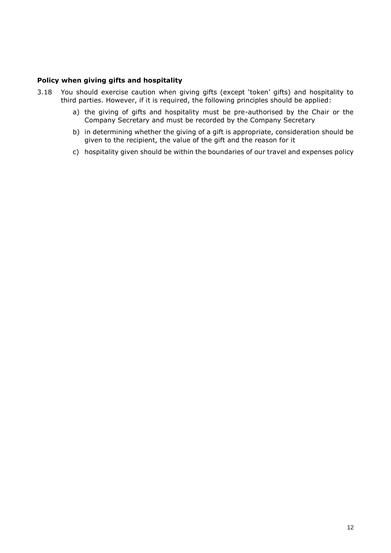## **Policy when giving gifts and hospitality**

- 3.18 You should exercise caution when giving gifts (except 'token' gifts) and hospitality to third parties. However, if it is required, the following principles should be applied:
	- a) the giving of gifts and hospitality must be pre-authorised by the Chair or the Company Secretary and must be recorded by the Company Secretary
	- b) in determining whether the giving of a gift is appropriate, consideration should be given to the recipient, the value of the gift and the reason for it
	- c) hospitality given should be within the boundaries of our travel and expenses policy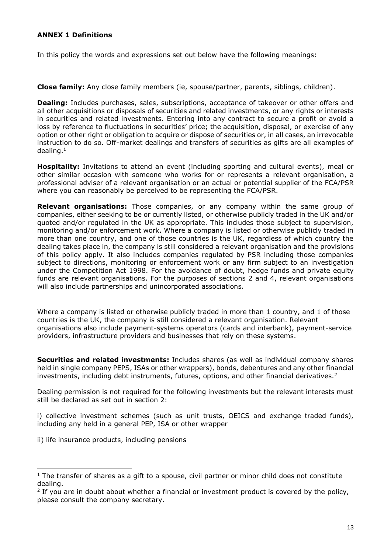## **ANNEX 1 Definitions**

In this policy the words and expressions set out below have the following meanings:

**Close family:** Any close family members (ie, spouse/partner, parents, siblings, children).

**Dealing:** Includes purchases, sales, subscriptions, acceptance of takeover or other offers and all other acquisitions or disposals of securities and related investments, or any rights or interests in securities and related investments. Entering into any contract to secure a profit or avoid a loss by reference to fluctuations in securities' price; the acquisition, disposal, or exercise of any option or other right or obligation to acquire or dispose of securities or, in all cases, an irrevocable instruction to do so. Off-market dealings and transfers of securities as gifts are all examples of dealing.<sup>1</sup>

**Hospitality:** Invitations to attend an event (including sporting and cultural events), meal or other similar occasion with someone who works for or represents a relevant organisation, a professional adviser of a relevant organisation or an actual or potential supplier of the FCA/PSR where you can reasonably be perceived to be representing the FCA/PSR.

**Relevant organisations:** Those companies, or any company within the same group of companies, either seeking to be or currently listed, or otherwise publicly traded in the UK and/or quoted and/or regulated in the UK as appropriate. This includes those subject to supervision, monitoring and/or enforcement work. Where a company is listed or otherwise publicly traded in more than one country, and one of those countries is the UK, regardless of which country the dealing takes place in, the company is still considered a relevant organisation and the provisions of this policy apply. It also includes companies regulated by PSR including those companies subject to directions, monitoring or enforcement work or any firm subject to an investigation under the Competition Act 1998. For the avoidance of doubt, hedge funds and private equity funds are relevant organisations. For the purposes of sections 2 and 4, relevant organisations will also include partnerships and unincorporated associations.

Where a company is listed or otherwise publicly traded in more than 1 country, and 1 of those countries is the UK, the company is still considered a relevant organisation. Relevant organisations also include payment-systems operators (cards and interbank), payment-service providers, infrastructure providers and businesses that rely on these systems.

**Securities and related investments:** Includes shares (as well as individual company shares held in single company PEPS, ISAs or other wrappers), bonds, debentures and any other financial investments, including debt instruments, futures, options, and other financial derivatives.<sup>2</sup>

Dealing permission is not required for the following investments but the relevant interests must still be declared as set out in section 2:

i) collective investment schemes (such as unit trusts, OEICS and exchange traded funds), including any held in a general PEP, ISA or other wrapper

ii) life insurance products, including pensions

l

 $1$  The transfer of shares as a gift to a spouse, civil partner or minor child does not constitute dealing.

 $2$  If you are in doubt about whether a financial or investment product is covered by the policy, please consult the company secretary.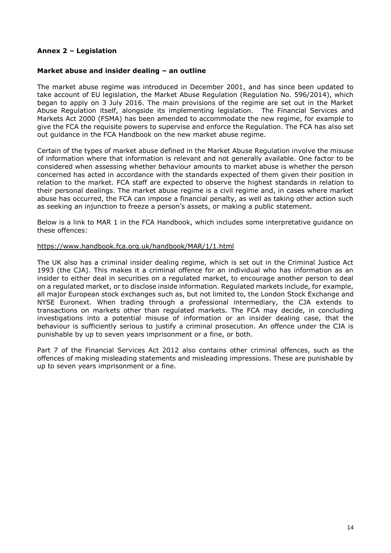## **Annex 2 – Legislation**

#### **Market abuse and insider dealing – an outline**

The market abuse regime was introduced in December 2001, and has since been updated to take account of EU legislation, the Market Abuse Regulation (Regulation No. 596/2014), which began to apply on 3 July 2016. The main provisions of the regime are set out in the Market Abuse Regulation itself, alongside its implementing legislation. The Financial Services and Markets Act 2000 (FSMA) has been amended to accommodate the new regime, for example to give the FCA the requisite powers to supervise and enforce the Regulation. The FCA has also set out guidance in the FCA Handbook on the new market abuse regime.

Certain of the types of market abuse defined in the Market Abuse Regulation involve the misuse of information where that information is relevant and not generally available. One factor to be considered when assessing whether behaviour amounts to market abuse is whether the person concerned has acted in accordance with the standards expected of them given their position in relation to the market. FCA staff are expected to observe the highest standards in relation to their personal dealings. The market abuse regime is a civil regime and, in cases where market abuse has occurred, the FCA can impose a financial penalty, as well as taking other action such as seeking an injunction to freeze a person's assets, or making a public statement.

Below is a link to MAR 1 in the FCA Handbook, which includes some interpretative guidance on these offences:

#### <https://www.handbook.fca.org.uk/handbook/MAR/1/1.html>

The UK also has a criminal insider dealing regime, which is set out in the Criminal Justice Act 1993 (the CJA). This makes it a criminal offence for an individual who has information as an insider to either deal in securities on a regulated market, to encourage another person to deal on a regulated market, or to disclose inside information. Regulated markets include, for example, all major European stock exchanges such as, but not limited to, the London Stock Exchange and NYSE Euronext. When trading through a professional intermediary, the CJA extends to transactions on markets other than regulated markets. The FCA may decide, in concluding investigations into a potential misuse of information or an insider dealing case, that the behaviour is sufficiently serious to justify a criminal prosecution. An offence under the CJA is punishable by up to seven years imprisonment or a fine, or both.

Part 7 of the Financial Services Act 2012 also contains other criminal offences, such as the offences of making misleading statements and misleading impressions. These are punishable by up to seven years imprisonment or a fine.